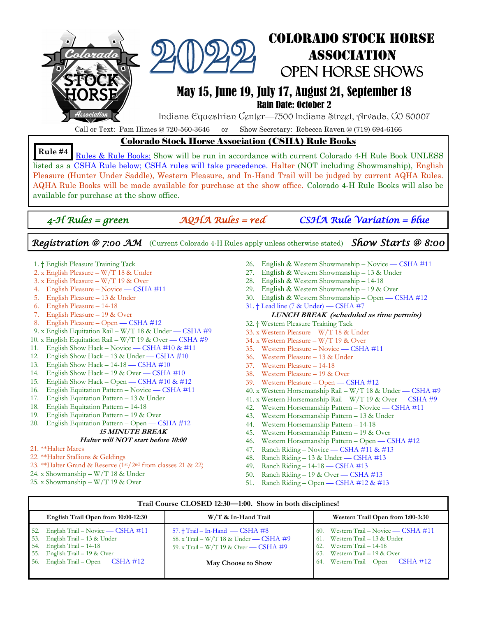

## Colorado Stock Horse Open Horse Shows

### May 15, June 19, July 17, August 21, September 18

Rain Date: October 2

Indiana Equestrian Center—7500 Indiana Street, Arvada, CO 80007

Call or Text: Pam Himes @ 720-560-3646 or Show Secretary: Rebecca Raven @ (719) 694-6166

### Colorado Stock Horse Association (CSHA) Rule Books

Rules & Rule Books: Show will be run in accordance with current Colorado 4-H Rule Book UNLESS listed as a CSHA Rule below; CSHA rules will take precedence. Halter (NOT including Showmanship), English Pleasure (Hunter Under Saddle), Western Pleasure, and In-Hand Trail will be judged by current AQHA Rules. AQHA Rule Books will be made available for purchase at the show office. Colorado 4-H Rule Books will also be available for purchase at the show office. **Rule #4** 

*4-H Rules = green AQHA Rules = red CSHA Rule Variation = blue* 

Association

*Registration @ 7:00 AM* (Current Colorado 4-H Rules apply unless otherwise stated) *Show Starts @ 8:00* 

- 1. † English Pleasure Training Tack
- 2. x English Pleasure W/T 18 & Under
- 3. x English Pleasure W/T 19 & Over
- 4. English Pleasure Novice CSHA #11
- 5. English Pleasure 13 & Under
- 6. English Pleasure 14-18
- 7. English Pleasure 19 & Over
- 8. English Pleasure Open CSHA #12
- 9. x English Equitation Rail W/T 18 & Under CSHA #9
- 10. x English Equitation Rail W/T 19 & Over CSHA #9
- 11. English Show Hack Novice CSHA #10 & #11
- 12. English Show Hack 13 & Under CSHA #10
- 13. English Show Hack 14-18 CSHA #10
- 14. English Show Hack 19 & Over CSHA #10
- 15. English Show Hack Open CSHA #10 & #12
- 16. English Equitation Pattern Novice CSHA #11
- 17. English Equitation Pattern 13 & Under
- 18. English Equitation Pattern 14-18
- 19. English Equitation Pattern 19 & Over
- 20. English Equitation Pattern Open CSHA #12

#### **15 MINUTE BREAK**

#### **Halter will NOT start before 10:00**

- 21. \*\*Halter Mares
- 22. \*\*Halter Stallions & Geldings
- 23. \*\*Halter Grand & Reserve (1st/2nd from classes 21 & 22)
- 24. x Showmanship W/T 18 & Under
- 25. x Showmanship W/T 19 & Over
- 26. English & Western Showmanship Novice CSHA #11
- 27. English & Western Showmanship 13 & Under
- 28. English & Western Showmanship 14-18
- 29. English & Western Showmanship 19 & Over
- 30. English & Western Showmanship Open CSHA #12
- 31. † Lead line (7 & Under) CSHA #7

#### **LUNCH BREAK (scheduled as time permits)**

- 32. † Western Pleasure Training Tack
- 33. x Western Pleasure W/T 18 & Under
- 34. x Western Pleasure W/T 19 & Over
- 35. Western Pleasure Novice CSHA #11
- 36. Western Pleasure 13 & Under
- 37. Western Pleasure 14-18
- 38. Western Pleasure 19 & Over
- 39. Western Pleasure Open CSHA #12
- 40. x Western Horsemanship Rail W/T 18 & Under CSHA #9
- 41. x Western Horsemanship Rail W/T 19 & Over CSHA #9
- 42. Western Horsemanship Pattern Novice CSHA #11
- 43. Western Horsemanship Pattern 13 & Under
- 44. Western Horsemanship Pattern 14-18
- 45. Western Horsemanship Pattern 19 & Over
- 46. Western Horsemanship Pattern Open CSHA #12
- 47. Ranch Riding Novice CSHA #11 & #13
- 48. Ranch Riding 13 & Under CSHA #13
- 49. Ranch Riding 14-18 CSHA #13
- 50. Ranch Riding 19 & Over CSHA #13
- 51. Ranch Riding Open CSHA #12 & #13

#### **Trail Course CLOSED 12:30—1:00. Show in both disciplines!**

| English Trail Open from 10:00-12:30                                                                                                                                               | W/T & In-Hand Trail                                                                                                                              | Western Trail Open from 1:00-3:30                                                                                                                                                 |
|-----------------------------------------------------------------------------------------------------------------------------------------------------------------------------------|--------------------------------------------------------------------------------------------------------------------------------------------------|-----------------------------------------------------------------------------------------------------------------------------------------------------------------------------------|
| English Trail – Novice — CSHA #11<br>52.<br>53. English Trail – 13 & Under<br>54. English Trail $-14-18$<br>55. English Trail $-19$ & Over<br>56. English Trail – Open — CSHA #12 | 57. $\dagger$ Trail – In-Hand — CSHA #8<br>58. x Trail – W/T 18 & Under — CSHA #9<br>59. x Trail - W/T 19 & Over - CSHA #9<br>May Choose to Show | 60. Western Trail – Novice — CSHA #11<br>61. Western Trail $-13$ & Under<br>$62.$ Western Trail $-14-18$<br>63. Western Trail $-19$ & Over<br>64. Western Trail – Open — CSHA #12 |